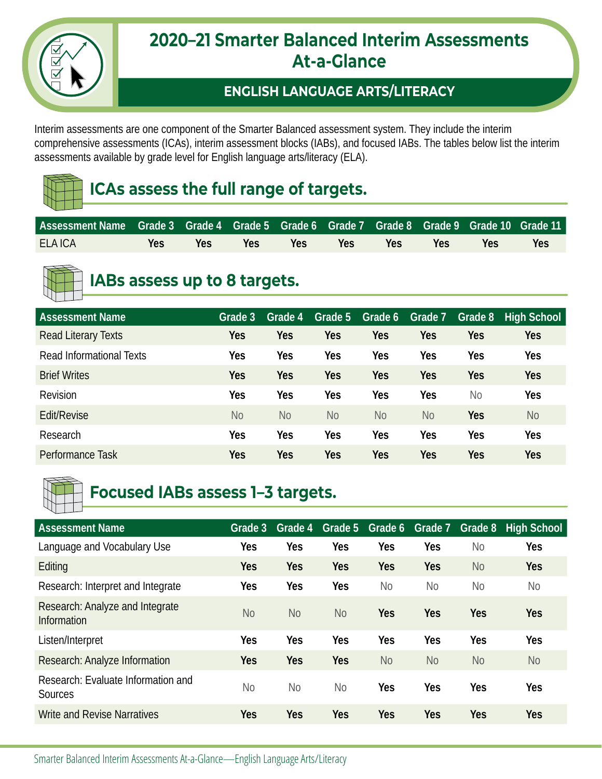

### **2020–21 Smarter Balanced Interim Assessments At-a-Glance**

#### **ENGLISH LANGUAGE ARTS/LITERACY**

Interim assessments are one component of the Smarter Balanced assessment system. They include the interim comprehensive assessments (ICAs), interim assessment blocks (IABs), and focused IABs. The tables below list the interim assessments available by grade level for English language arts/literacy (ELA).

## **ICAs assess the full range of targets.**

| l Assessment Name Grade 3 Grade 4 Grade 5 Grade 6 Grade 7 Grade 8 Grade 9 Grade 10 Grade 11 I |     |            |     |                   |     |                   |             |     |            |
|-----------------------------------------------------------------------------------------------|-----|------------|-----|-------------------|-----|-------------------|-------------|-----|------------|
| <b>ELA ICA</b>                                                                                | Yes | <b>Yes</b> | Yes | <b>Example 19</b> | Yes | <b>Example 19</b> | <b>Pres</b> | Yes | <b>Yes</b> |



## **IABs assess up to 8 targets.**

| <b>Assessment Name</b>     | Grade 3        | Grade 4        | Grade 5    | Grade 6        | Grade 7    | Grade 8    | <b>High School</b> |
|----------------------------|----------------|----------------|------------|----------------|------------|------------|--------------------|
| <b>Read Literary Texts</b> | Yes            | <b>Yes</b>     | <b>Yes</b> | Yes            | <b>Yes</b> | Yes        | <b>Yes</b>         |
| Read Informational Texts   | Yes            | Yes            | Yes        | Yes            | Yes        | Yes        | Yes                |
| <b>Brief Writes</b>        | Yes            | <b>Yes</b>     | <b>Yes</b> | Yes            | <b>Yes</b> | Yes        | <b>Yes</b>         |
| Revision                   | Yes            | Yes            | Yes        | Yes            | Yes        | <b>No</b>  | <b>Yes</b>         |
| Edit/Revise                | N <sub>o</sub> | N <sub>o</sub> | <b>No</b>  | N <sub>o</sub> | <b>No</b>  | <b>Yes</b> | N <sub>o</sub>     |
| Research                   | Yes            | Yes            | Yes        | Yes            | Yes        | Yes        | Yes                |
| Performance Task           | Yes            | <b>Yes</b>     | <b>Yes</b> | Yes            | <b>Yes</b> | Yes        | <b>Yes</b>         |



## **Focused IABs assess 1–3 targets.**

| <b>Assessment Name</b>                         | Grade <sub>3</sub> | Grade 4        | Grade 5    | Grade 6        | Grade 7    | Grade 8        | <b>High School</b> |
|------------------------------------------------|--------------------|----------------|------------|----------------|------------|----------------|--------------------|
| Language and Vocabulary Use                    | Yes                | Yes            | Yes        | Yes            | Yes        | <b>No</b>      | <b>Yes</b>         |
| Editing                                        | <b>Yes</b>         | <b>Yes</b>     | <b>Yes</b> | <b>Yes</b>     | <b>Yes</b> | <b>No</b>      | <b>Yes</b>         |
| Research: Interpret and Integrate              | <b>Yes</b>         | Yes            | Yes        | N <sub>o</sub> | No         | N <sub>o</sub> | <b>No</b>          |
| Research: Analyze and Integrate<br>Information | <b>No</b>          | N <sub>o</sub> | <b>No</b>  | <b>Yes</b>     | Yes        | <b>Yes</b>     | <b>Yes</b>         |
| Listen/Interpret                               | <b>Yes</b>         | Yes            | Yes        | Yes            | Yes        | Yes            | <b>Yes</b>         |
| Research: Analyze Information                  | <b>Yes</b>         | <b>Yes</b>     | <b>Yes</b> | <b>No</b>      | <b>No</b>  | N <sub>o</sub> | <b>No</b>          |
| Research: Evaluate Information and<br>Sources  | <b>No</b>          | No             | <b>No</b>  | Yes            | Yes        | Yes            | Yes                |
| <b>Write and Revise Narratives</b>             | <b>Yes</b>         | <b>Yes</b>     | <b>Yes</b> | <b>Yes</b>     | Yes        | <b>Yes</b>     | <b>Yes</b>         |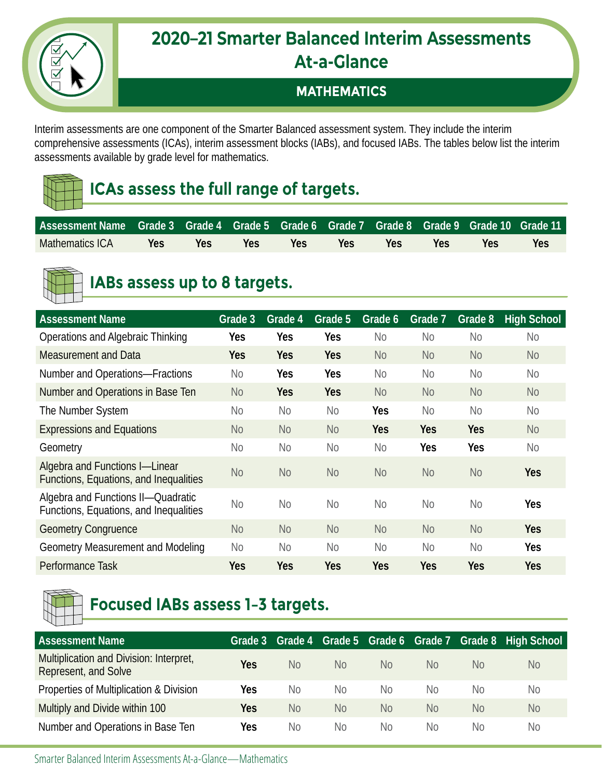#### **2020–21 Smarter Balanced Interim Assessments At-a-Glance**

#### **MATHEMATICS**

Interim assessments are one component of the Smarter Balanced assessment system. They include the interim comprehensive assessments (ICAs), interim assessment blocks (IABs), and focused IABs. The tables below list the interim assessments available by grade level for mathematics.

## **ICAs assess the full range of targets.**

| l Assessment Name Grade 3 Grade 4 Grade 5 Grade 6 Grade 7 Grade 8 Grade 9 Grade 10 Grade 11 I |     |      |                  |            |                  |     |     |     |     |
|-----------------------------------------------------------------------------------------------|-----|------|------------------|------------|------------------|-----|-----|-----|-----|
| Mathematics ICA                                                                               | Yes | Yes: | Yes <sup>1</sup> | <b>Yes</b> | Yes <sup>1</sup> | Yes | Yes | Yes | Yes |



### **IABs assess up to 8 targets.**

| <b>Assessment Name</b>                                                       | Grade 3        | Grade 4        | Grade 5        | Grade 6        | Grade 7        | Grade 8    | <b>High School</b> |
|------------------------------------------------------------------------------|----------------|----------------|----------------|----------------|----------------|------------|--------------------|
| Operations and Algebraic Thinking                                            | Yes            | <b>Yes</b>     | <b>Yes</b>     | <b>No</b>      | <b>No</b>      | <b>No</b>  | <b>No</b>          |
| Measurement and Data                                                         | <b>Yes</b>     | <b>Yes</b>     | <b>Yes</b>     | <b>No</b>      | <b>No</b>      | <b>No</b>  | <b>No</b>          |
| Number and Operations-Fractions                                              | No             | <b>Yes</b>     | <b>Yes</b>     | N <sub>o</sub> | <b>No</b>      | <b>No</b>  | N <sub>o</sub>     |
| Number and Operations in Base Ten                                            | N <sub>o</sub> | <b>Yes</b>     | <b>Yes</b>     | N <sub>o</sub> | <b>No</b>      | <b>No</b>  | <b>No</b>          |
| The Number System                                                            | No             | No             | No             | <b>Yes</b>     | <b>No</b>      | <b>No</b>  | N <sub>0</sub>     |
| <b>Expressions and Equations</b>                                             | N <sub>o</sub> | N <sub>o</sub> | <b>No</b>      | <b>Yes</b>     | <b>Yes</b>     | <b>Yes</b> | <b>No</b>          |
| Geometry                                                                     | <b>No</b>      | N <sub>o</sub> | N <sub>o</sub> | N <sub>o</sub> | <b>Yes</b>     | <b>Yes</b> | <b>No</b>          |
| Algebra and Functions I-Linear<br>Functions, Equations, and Inequalities     | <b>No</b>      | N <sub>o</sub> | <b>No</b>      | <b>No</b>      | <b>No</b>      | <b>No</b>  | <b>Yes</b>         |
| Algebra and Functions II-Quadratic<br>Functions, Equations, and Inequalities | No             | N <sub>0</sub> | N <sub>o</sub> | N <sub>o</sub> | N <sub>0</sub> | <b>No</b>  | Yes                |
| <b>Geometry Congruence</b>                                                   | N <sub>o</sub> | N <sub>o</sub> | <b>No</b>      | N <sub>o</sub> | <b>No</b>      | <b>No</b>  | <b>Yes</b>         |
| Geometry Measurement and Modeling                                            | N <sub>o</sub> | N <sub>o</sub> | N <sub>o</sub> | N <sub>o</sub> | <b>No</b>      | <b>No</b>  | Yes                |
| Performance Task                                                             | Yes            | <b>Yes</b>     | Yes            | Yes            | <b>Yes</b>     | Yes        | Yes                |



# **Focused IABs assess 1–3 targets.**

| <b>Assessment Name</b>                                          | Grade 3 | Grade 4   |           | Grade 5 Grade 6 Grade 7 |    |    | Grade 8 High School |
|-----------------------------------------------------------------|---------|-----------|-----------|-------------------------|----|----|---------------------|
| Multiplication and Division: Interpret,<br>Represent, and Solve | Yes     | No        | <b>No</b> | No.                     | No | No | N <sub>o</sub>      |
| Properties of Multiplication & Division                         | Yes     | No        | No        | No.                     | No | No | No                  |
| Multiply and Divide within 100                                  | Yes     | <b>No</b> | <b>No</b> | No.                     | No | No | <b>No</b>           |
| Number and Operations in Base Ten                               | Yes     | No        | No        | No.                     | No | No | N <sub>o</sub>      |

Smarter Balanced Interim Assessments At-a-Glance—Mathematics